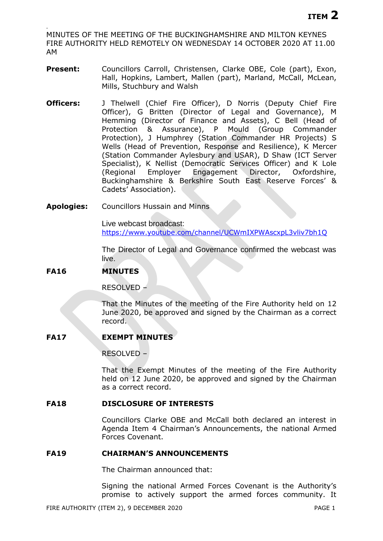. MINUTES OF THE MEETING OF THE BUCKINGHAMSHIRE AND MILTON KEYNES FIRE AUTHORITY HELD REMOTELY ON WEDNESDAY 14 OCTOBER 2020 AT 11.00 AM

- Present: Councillors Carroll, Christensen, Clarke OBE, Cole (part), Exon, Hall, Hopkins, Lambert, Mallen (part), Marland, McCall, McLean, Mills, Stuchbury and Walsh
- **Officers:** J Thelwell (Chief Fire Officer), D Norris (Deputy Chief Fire Officer), G Britten (Director of Legal and Governance), M Hemming (Director of Finance and Assets), C Bell (Head of Protection & Assurance), P Mould (Group Commander Protection), J Humphrey (Station Commander HR Projects) S Wells (Head of Prevention, Response and Resilience), K Mercer (Station Commander Aylesbury and USAR), D Shaw (ICT Server Specialist), K Nellist (Democratic Services Officer) and K Lole (Regional Employer Engagement Director, Oxfordshire, Buckinghamshire & Berkshire South East Reserve Forces' & Cadets' Association).
- **Apologies:** Councillors Hussain and Minns

Live webcast broadcast: <https://www.youtube.com/channel/UCWmIXPWAscxpL3vliv7bh1Q>

The Director of Legal and Governance confirmed the webcast was live.

# **FA16 MINUTES**

RESOLVED –

That the Minutes of the meeting of the Fire Authority held on 12 June 2020, be approved and signed by the Chairman as a correct record.

# **FA17 EXEMPT MINUTES**

RESOLVED –

That the Exempt Minutes of the meeting of the Fire Authority held on 12 June 2020, be approved and signed by the Chairman as a correct record.

## **FA18 DISCLOSURE OF INTERESTS**

Councillors Clarke OBE and McCall both declared an interest in Agenda Item 4 Chairman's Announcements, the national Armed Forces Covenant.

## **FA19 CHAIRMAN'S ANNOUNCEMENTS**

The Chairman announced that:

Signing the national Armed Forces Covenant is the Authority's promise to actively support the armed forces community. It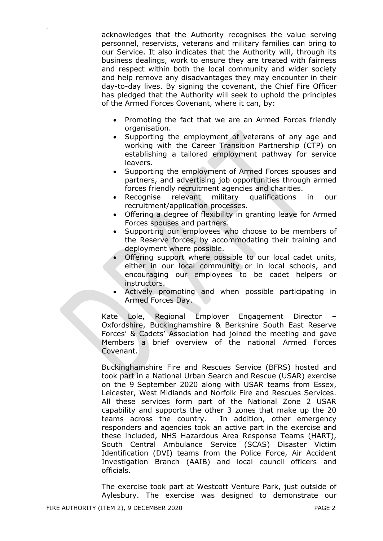acknowledges that the Authority recognises the value serving personnel, reservists, veterans and military families can bring to our Service. It also indicates that the Authority will, through its business dealings, work to ensure they are treated with fairness and respect within both the local community and wider society and help remove any disadvantages they may encounter in their day-to-day lives. By signing the covenant, the Chief Fire Officer has pledged that the Authority will seek to uphold the principles of the Armed Forces Covenant, where it can, by:

- Promoting the fact that we are an Armed Forces friendly organisation.
- Supporting the employment of veterans of any age and working with the Career Transition Partnership (CTP) on establishing a tailored employment pathway for service leavers.
- Supporting the employment of Armed Forces spouses and partners, and advertising job opportunities through armed forces friendly recruitment agencies and charities.
- Recognise relevant military qualifications in our recruitment/application processes.
- Offering a degree of flexibility in granting leave for Armed Forces spouses and partners.
- Supporting our employees who choose to be members of the Reserve forces, by accommodating their training and deployment where possible.
- Offering support where possible to our local cadet units, either in our local community or in local schools, and encouraging our employees to be cadet helpers or instructors.
- Actively promoting and when possible participating in Armed Forces Day.

Kate Lole, Regional Employer Engagement Director – Oxfordshire, Buckinghamshire & Berkshire South East Reserve Forces' & Cadets' Association had joined the meeting and gave Members a brief overview of the national Armed Forces Covenant.

Buckinghamshire Fire and Rescues Service (BFRS) hosted and took part in a National Urban Search and Rescue (USAR) exercise on the 9 September 2020 along with USAR teams from Essex, Leicester, West Midlands and Norfolk Fire and Rescues Services. All these services form part of the National Zone 2 USAR capability and supports the other 3 zones that make up the 20 teams across the country. In addition, other emergency responders and agencies took an active part in the exercise and these included, NHS Hazardous Area Response Teams (HART), South Central Ambulance Service (SCAS) Disaster Victim Identification (DVI) teams from the Police Force, Air Accident Investigation Branch (AAIB) and local council officers and officials.

The exercise took part at Westcott Venture Park, just outside of Aylesbury. The exercise was designed to demonstrate our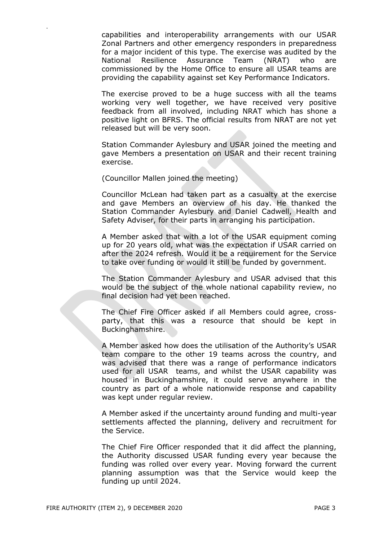capabilities and interoperability arrangements with our USAR Zonal Partners and other emergency responders in preparedness for a major incident of this type. The exercise was audited by the National Resilience Assurance Team (NRAT) who are commissioned by the Home Office to ensure all USAR teams are providing the capability against set Key Performance Indicators.

The exercise proved to be a huge success with all the teams working very well together, we have received very positive feedback from all involved, including NRAT which has shone a positive light on BFRS. The official results from NRAT are not yet released but will be very soon.

Station Commander Aylesbury and USAR joined the meeting and gave Members a presentation on USAR and their recent training exercise.

(Councillor Mallen joined the meeting)

.

Councillor McLean had taken part as a casualty at the exercise and gave Members an overview of his day. He thanked the Station Commander Aylesbury and Daniel Cadwell, Health and Safety Adviser, for their parts in arranging his participation.

A Member asked that with a lot of the USAR equipment coming up for 20 years old, what was the expectation if USAR carried on after the 2024 refresh. Would it be a requirement for the Service to take over funding or would it still be funded by government.

The Station Commander Aylesbury and USAR advised that this would be the subject of the whole national capability review, no final decision had yet been reached.

The Chief Fire Officer asked if all Members could agree, crossparty, that this was a resource that should be kept in Buckinghamshire.

A Member asked how does the utilisation of the Authority's USAR team compare to the other 19 teams across the country, and was advised that there was a range of performance indicators used for all USAR teams, and whilst the USAR capability was housed in Buckinghamshire, it could serve anywhere in the country as part of a whole nationwide response and capability was kept under regular review.

A Member asked if the uncertainty around funding and multi-year settlements affected the planning, delivery and recruitment for the Service.

The Chief Fire Officer responded that it did affect the planning, the Authority discussed USAR funding every year because the funding was rolled over every year. Moving forward the current planning assumption was that the Service would keep the funding up until 2024.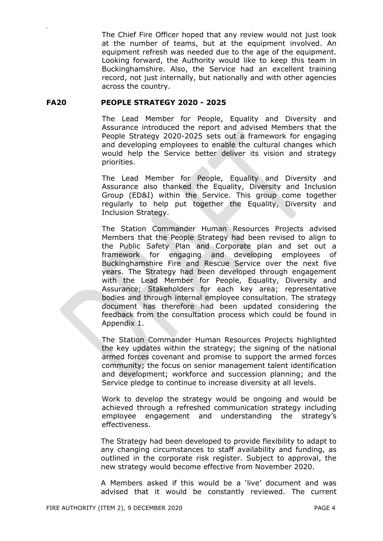The Chief Fire Officer hoped that any review would not just look at the number of teams, but at the equipment involved. An equipment refresh was needed due to the age of the equipment. Looking forward, the Authority would like to keep this team in Buckinghamshire. Also, the Service had an excellent training record, not just internally, but nationally and with other agencies across the country.

## **FA20 PEOPLE STRATEGY 2020 - 2025**

.

The Lead Member for People, Equality and Diversity and Assurance introduced the report and advised Members that the People Strategy 2020-2025 sets out a framework for engaging and developing employees to enable the cultural changes which would help the Service better deliver its vision and strategy priorities.

The Lead Member for People, Equality and Diversity and Assurance also thanked the Equality, Diversity and Inclusion Group (ED&I) within the Service. This group come together regularly to help put together the Equality, Diversity and Inclusion Strategy.

The Station Commander Human Resources Projects advised Members that the People Strategy had been revised to align to the Public Safety Plan and Corporate plan and set out a framework for engaging and developing employees of Buckinghamshire Fire and Rescue Service over the next five years. The Strategy had been developed through engagement with the Lead Member for People, Equality, Diversity and Assurance; Stakeholders for each key area; representative bodies and through internal employee consultation. The strategy document has therefore had been updated considering the feedback from the consultation process which could be found in Appendix 1.

The Station Commander Human Resources Projects highlighted the key updates within the strategy; the signing of the national armed forces covenant and promise to support the armed forces community; the focus on senior management talent identification and development; workforce and succession planning; and the Service pledge to continue to increase diversity at all levels.

Work to develop the strategy would be ongoing and would be achieved through a refreshed communication strategy including employee engagement and understanding the strategy's effectiveness.

The Strategy had been developed to provide flexibility to adapt to any changing circumstances to staff availability and funding, as outlined in the corporate risk register. Subject to approval, the new strategy would become effective from November 2020.

A Members asked if this would be a 'live' document and was advised that it would be constantly reviewed. The current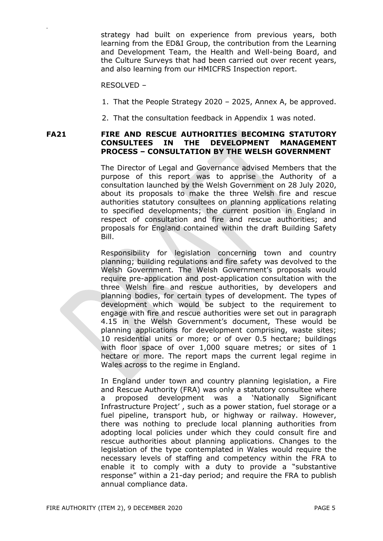strategy had built on experience from previous years, both learning from the ED&I Group, the contribution from the Learning and Development Team, the Health and Well-being Board, and the Culture Surveys that had been carried out over recent years, and also learning from our HMICFRS Inspection report.

#### RESOLVED –

.

- 1. That the People Strategy 2020 2025, Annex A, be approved.
- 2. That the consultation feedback in Appendix 1 was noted.

## **FA21 FIRE AND RESCUE AUTHORITIES BECOMING STATUTORY CONSULTEES IN THE DEVELOPMENT MANAGEMENT PROCESS – CONSULTATION BY THE WELSH GOVERNMENT**

The Director of Legal and Governance advised Members that the purpose of this report was to apprise the Authority of a consultation launched by the Welsh Government on 28 July 2020, about its proposals to make the three Welsh fire and rescue authorities statutory consultees on planning applications relating to specified developments; the current position in England in respect of consultation and fire and rescue authorities; and proposals for England contained within the draft Building Safety Bill.

Responsibility for legislation concerning town and country planning; building regulations and fire safety was devolved to the Welsh Government. The Welsh Government's proposals would require pre-application and post-application consultation with the three Welsh fire and rescue authorities, by developers and planning bodies, for certain types of development. The types of development which would be subject to the requirement to engage with fire and rescue authorities were set out in paragraph 4.15 in the Welsh Government's document, These would be planning applications for development comprising, waste sites; 10 residential units or more; or of over 0.5 hectare; buildings with floor space of over 1,000 square metres; or sites of 1 hectare or more. The report maps the current legal regime in Wales across to the regime in England.

In England under town and country planning legislation, a Fire and Rescue Authority (FRA) was only a statutory consultee where a proposed development was a 'Nationally Significant Infrastructure Project' , such as a power station, fuel storage or a fuel pipeline, transport hub, or highway or railway. However, there was nothing to preclude local planning authorities from adopting local policies under which they could consult fire and rescue authorities about planning applications. Changes to the legislation of the type contemplated in Wales would require the necessary levels of staffing and competency within the FRA to enable it to comply with a duty to provide a "substantive response" within a 21-day period; and require the FRA to publish annual compliance data.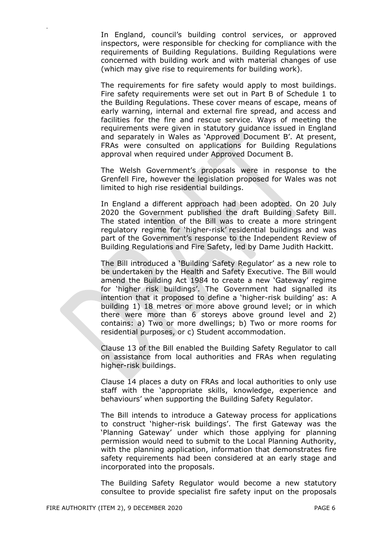In England, council's building control services, or approved inspectors, were responsible for checking for compliance with the requirements of Building Regulations. Building Regulations were concerned with building work and with material changes of use (which may give rise to requirements for building work).

The requirements for fire safety would apply to most buildings. Fire safety requirements were set out in Part B of Schedule 1 to the Building Regulations. These cover means of escape, means of early warning, internal and external fire spread, and access and facilities for the fire and rescue service. Ways of meeting the requirements were given in statutory guidance issued in England and separately in Wales as 'Approved Document B'. At present, FRAs were consulted on applications for Building Regulations approval when required under Approved Document B.

The Welsh Government's proposals were in response to the Grenfell Fire, however the legislation proposed for Wales was not limited to high rise residential buildings.

In England a different approach had been adopted. On 20 July 2020 the Government published the draft Building Safety Bill. The stated intention of the Bill was to create a more stringent regulatory regime for 'higher-risk' residential buildings and was part of the Government's response to the Independent Review of Building Regulations and Fire Safety, led by Dame Judith Hackitt.

The Bill introduced a 'Building Safety Regulator' as a new role to be undertaken by the Health and Safety Executive. The Bill would amend the Building Act 1984 to create a new 'Gateway' regime for 'higher risk buildings'. The Government had signalled its intention that it proposed to define a 'higher-risk building' as: A building 1) 18 metres or more above ground level; or in which there were more than 6 storeys above ground level and 2) contains: a) Two or more dwellings; b) Two or more rooms for residential purposes, or c) Student accommodation.

Clause 13 of the Bill enabled the Building Safety Regulator to call on assistance from local authorities and FRAs when regulating higher-risk buildings.

Clause 14 places a duty on FRAs and local authorities to only use staff with the 'appropriate skills, knowledge, experience and behaviours' when supporting the Building Safety Regulator.

The Bill intends to introduce a Gateway process for applications to construct 'higher-risk buildings'. The first Gateway was the 'Planning Gateway' under which those applying for planning permission would need to submit to the Local Planning Authority, with the planning application, information that demonstrates fire safety requirements had been considered at an early stage and incorporated into the proposals.

The Building Safety Regulator would become a new statutory consultee to provide specialist fire safety input on the proposals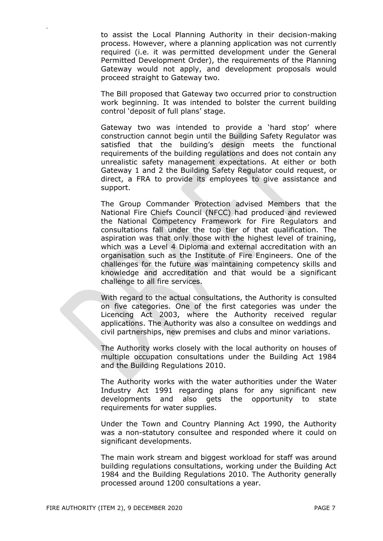to assist the Local Planning Authority in their decision-making process. However, where a planning application was not currently required (i.e. it was permitted development under the General Permitted Development Order), the requirements of the Planning Gateway would not apply, and development proposals would proceed straight to Gateway two.

The Bill proposed that Gateway two occurred prior to construction work beginning. It was intended to bolster the current building control 'deposit of full plans' stage.

Gateway two was intended to provide a 'hard stop' where construction cannot begin until the Building Safety Regulator was satisfied that the building's design meets the functional requirements of the building regulations and does not contain any unrealistic safety management expectations. At either or both Gateway 1 and 2 the Building Safety Regulator could request, or direct, a FRA to provide its employees to give assistance and support.

The Group Commander Protection advised Members that the National Fire Chiefs Council (NFCC) had produced and reviewed the National Competency Framework for Fire Regulators and consultations fall under the top tier of that qualification. The aspiration was that only those with the highest level of training, which was a Level 4 Diploma and external accreditation with an organisation such as the Institute of Fire Engineers. One of the challenges for the future was maintaining competency skills and knowledge and accreditation and that would be a significant challenge to all fire services.

With regard to the actual consultations, the Authority is consulted on five categories. One of the first categories was under the Licencing Act 2003, where the Authority received regular applications. The Authority was also a consultee on weddings and civil partnerships, new premises and clubs and minor variations.

The Authority works closely with the local authority on houses of multiple occupation consultations under the Building Act 1984 and the Building Regulations 2010.

The Authority works with the water authorities under the Water Industry Act 1991 regarding plans for any significant new developments and also gets the opportunity to state requirements for water supplies.

Under the Town and Country Planning Act 1990, the Authority was a non-statutory consultee and responded where it could on significant developments.

The main work stream and biggest workload for staff was around building regulations consultations, working under the Building Act 1984 and the Building Regulations 2010. The Authority generally processed around 1200 consultations a year.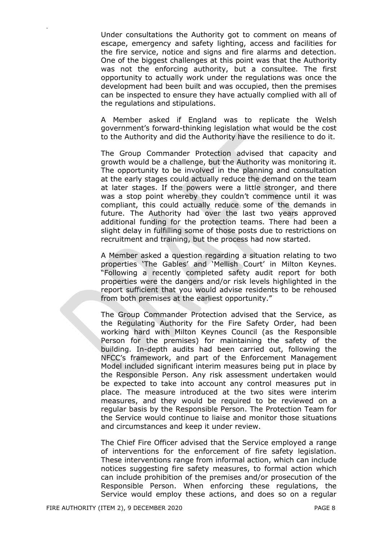Under consultations the Authority got to comment on means of escape, emergency and safety lighting, access and facilities for the fire service, notice and signs and fire alarms and detection. One of the biggest challenges at this point was that the Authority was not the enforcing authority, but a consultee. The first opportunity to actually work under the regulations was once the development had been built and was occupied, then the premises can be inspected to ensure they have actually complied with all of the regulations and stipulations.

A Member asked if England was to replicate the Welsh government's forward-thinking legislation what would be the cost to the Authority and did the Authority have the resilience to do it.

The Group Commander Protection advised that capacity and growth would be a challenge, but the Authority was monitoring it. The opportunity to be involved in the planning and consultation at the early stages could actually reduce the demand on the team at later stages. If the powers were a little stronger, and there was a stop point whereby they couldn't commence until it was compliant, this could actually reduce some of the demands in future. The Authority had over the last two years approved additional funding for the protection teams. There had been a slight delay in fulfilling some of those posts due to restrictions on recruitment and training, but the process had now started.

A Member asked a question regarding a situation relating to two properties 'The Gables' and 'Mellish Court' in Milton Keynes. "Following a recently completed safety audit report for both properties were the dangers and/or risk levels highlighted in the report sufficient that you would advise residents to be rehoused from both premises at the earliest opportunity."

The Group Commander Protection advised that the Service, as the Regulating Authority for the Fire Safety Order, had been working hard with Milton Keynes Council (as the Responsible Person for the premises) for maintaining the safety of the building. In-depth audits had been carried out, following the NFCC's framework, and part of the Enforcement Management Model included significant interim measures being put in place by the Responsible Person. Any risk assessment undertaken would be expected to take into account any control measures put in place. The measure introduced at the two sites were interim measures, and they would be required to be reviewed on a regular basis by the Responsible Person. The Protection Team for the Service would continue to liaise and monitor those situations and circumstances and keep it under review.

The Chief Fire Officer advised that the Service employed a range of interventions for the enforcement of fire safety legislation. These interventions range from informal action, which can include notices suggesting fire safety measures, to formal action which can include prohibition of the premises and/or prosecution of the Responsible Person. When enforcing these regulations, the Service would employ these actions, and does so on a regular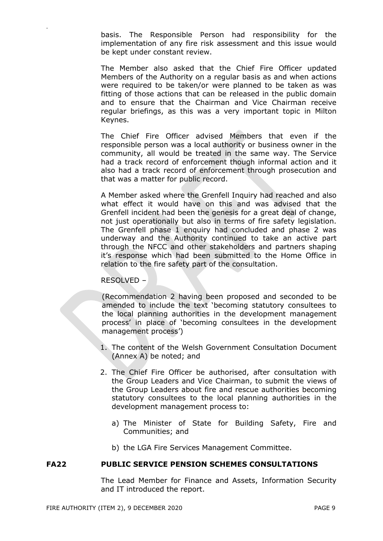basis. The Responsible Person had responsibility for the implementation of any fire risk assessment and this issue would be kept under constant review.

The Member also asked that the Chief Fire Officer updated Members of the Authority on a regular basis as and when actions were required to be taken/or were planned to be taken as was fitting of those actions that can be released in the public domain and to ensure that the Chairman and Vice Chairman receive regular briefings, as this was a very important topic in Milton Keynes.

The Chief Fire Officer advised Members that even if the responsible person was a local authority or business owner in the community, all would be treated in the same way. The Service had a track record of enforcement though informal action and it also had a track record of enforcement through prosecution and that was a matter for public record.

A Member asked where the Grenfell Inquiry had reached and also what effect it would have on this and was advised that the Grenfell incident had been the genesis for a great deal of change, not just operationally but also in terms of fire safety legislation. The Grenfell phase 1 enquiry had concluded and phase 2 was underway and the Authority continued to take an active part through the NFCC and other stakeholders and partners shaping it's response which had been submitted to the Home Office in relation to the fire safety part of the consultation.

## RESOLVED –

.

(Recommendation 2 having been proposed and seconded to be amended to include the text 'becoming statutory consultees to the local planning authorities in the development management process' in place of 'becoming consultees in the development management process')

- 1. The content of the Welsh Government Consultation Document (Annex A) be noted; and
- 2. The Chief Fire Officer be authorised, after consultation with the Group Leaders and Vice Chairman, to submit the views of the Group Leaders about fire and rescue authorities becoming statutory consultees to the local planning authorities in the development management process to:
	- a) The Minister of State for Building Safety, Fire and Communities; and
	- b) the LGA Fire Services Management Committee.

## **FA22 PUBLIC SERVICE PENSION SCHEMES CONSULTATIONS**

The Lead Member for Finance and Assets, Information Security and IT introduced the report.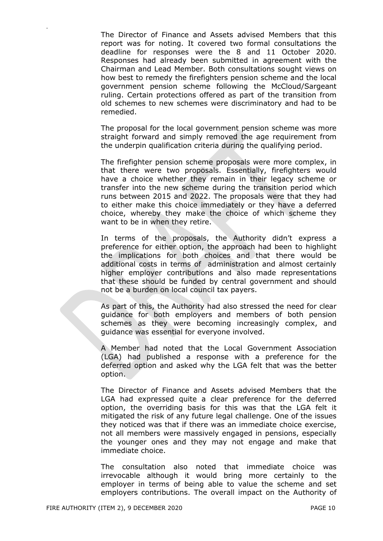The Director of Finance and Assets advised Members that this report was for noting. It covered two formal consultations the deadline for responses were the 8 and 11 October 2020. Responses had already been submitted in agreement with the Chairman and Lead Member. Both consultations sought views on how best to remedy the firefighters pension scheme and the local government pension scheme following the McCloud/Sargeant ruling. Certain protections offered as part of the transition from old schemes to new schemes were discriminatory and had to be remedied.

The proposal for the local government pension scheme was more straight forward and simply removed the age requirement from the underpin qualification criteria during the qualifying period.

The firefighter pension scheme proposals were more complex, in that there were two proposals. Essentially, firefighters would have a choice whether they remain in their legacy scheme or transfer into the new scheme during the transition period which runs between 2015 and 2022. The proposals were that they had to either make this choice immediately or they have a deferred choice, whereby they make the choice of which scheme they want to be in when they retire.

In terms of the proposals, the Authority didn't express a preference for either option, the approach had been to highlight the implications for both choices and that there would be additional costs in terms of administration and almost certainly higher employer contributions and also made representations that these should be funded by central government and should not be a burden on local council tax payers.

As part of this, the Authority had also stressed the need for clear guidance for both employers and members of both pension schemes as they were becoming increasingly complex, and guidance was essential for everyone involved.

A Member had noted that the Local Government Association (LGA) had published a response with a preference for the deferred option and asked why the LGA felt that was the better option.

The Director of Finance and Assets advised Members that the LGA had expressed quite a clear preference for the deferred option, the overriding basis for this was that the LGA felt it mitigated the risk of any future legal challenge. One of the issues they noticed was that if there was an immediate choice exercise, not all members were massively engaged in pensions, especially the younger ones and they may not engage and make that immediate choice.

The consultation also noted that immediate choice was irrevocable although it would bring more certainly to the employer in terms of being able to value the scheme and set employers contributions. The overall impact on the Authority of